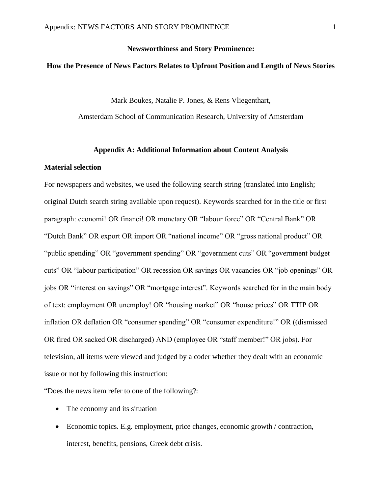# **Newsworthiness and Story Prominence:**

# **How the Presence of News Factors Relates to Upfront Position and Length of News Stories**

Mark Boukes, Natalie P. Jones, & Rens Vliegenthart,

Amsterdam School of Communication Research, University of Amsterdam

#### **Appendix A: Additional Information about Content Analysis**

## **Material selection**

For newspapers and websites, we used the following search string (translated into English; original Dutch search string available upon request). Keywords searched for in the title or first paragraph: economi! OR financi! OR monetary OR "labour force" OR "Central Bank" OR "Dutch Bank" OR export OR import OR "national income" OR "gross national product" OR "public spending" OR "government spending" OR "government cuts" OR "government budget cuts" OR "labour participation" OR recession OR savings OR vacancies OR "job openings" OR jobs OR "interest on savings" OR "mortgage interest". Keywords searched for in the main body of text: employment OR unemploy! OR "housing market" OR "house prices" OR TTIP OR inflation OR deflation OR "consumer spending" OR "consumer expenditure!" OR ((dismissed OR fired OR sacked OR discharged) AND (employee OR "staff member!" OR jobs). For television, all items were viewed and judged by a coder whether they dealt with an economic issue or not by following this instruction:

"Does the news item refer to one of the following?:

- The economy and its situation
- Economic topics. E.g. employment, price changes, economic growth / contraction, interest, benefits, pensions, Greek debt crisis.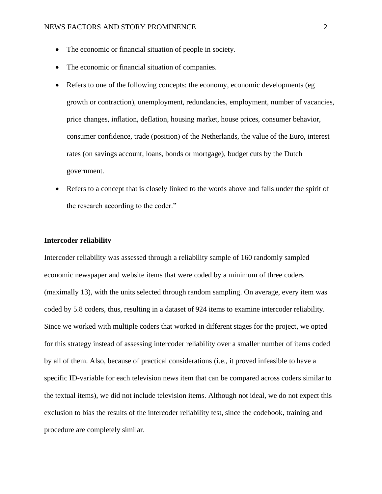- The economic or financial situation of people in society.
- The economic or financial situation of companies.
- Refers to one of the following concepts: the economy, economic developments (eg growth or contraction), unemployment, redundancies, employment, number of vacancies, price changes, inflation, deflation, housing market, house prices, consumer behavior, consumer confidence, trade (position) of the Netherlands, the value of the Euro, interest rates (on savings account, loans, bonds or mortgage), budget cuts by the Dutch government.
- Refers to a concept that is closely linked to the words above and falls under the spirit of the research according to the coder."

# **Intercoder reliability**

Intercoder reliability was assessed through a reliability sample of 160 randomly sampled economic newspaper and website items that were coded by a minimum of three coders (maximally 13), with the units selected through random sampling. On average, every item was coded by 5.8 coders, thus, resulting in a dataset of 924 items to examine intercoder reliability. Since we worked with multiple coders that worked in different stages for the project, we opted for this strategy instead of assessing intercoder reliability over a smaller number of items coded by all of them. Also, because of practical considerations (i.e., it proved infeasible to have a specific ID-variable for each television news item that can be compared across coders similar to the textual items), we did not include television items. Although not ideal, we do not expect this exclusion to bias the results of the intercoder reliability test, since the codebook, training and procedure are completely similar.